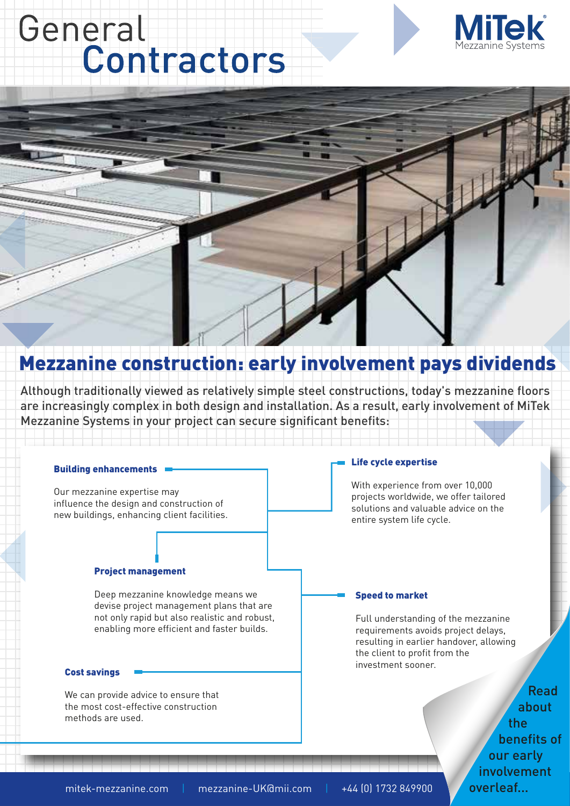## General Contractors



## Mezzanine construction: early involvement pays dividends

Although traditionally viewed as relatively simple steel constructions, today's mezzanine floors are increasingly complex in both design and installation. As a result, early involvement of MiTek Mezzanine Systems in your project can secure significant benefits:

#### Building enhancements

Our mezzanine expertise may influence the design and construction of new buildings, enhancing client facilities.

#### Project management

Deep mezzanine knowledge means we devise project management plans that are not only rapid but also realistic and robust, enabling more efficient and faster builds.

#### Cost savings

We can provide advice to ensure that the most cost-effective construction methods are used.

#### Life cycle expertise

With experience from over 10,000 projects worldwide, we offer tailored solutions and valuable advice on the entire system life cycle.

#### Speed to market

Full understanding of the mezzanine requirements avoids project delays, resulting in earlier handover, allowing the client to profit from the investment sooner.

> Read about the benefits of our early involvement overleaf...

mitek-mezzanine.com | mezzanine-UK@mii.com | +44 (0) 1732 849900